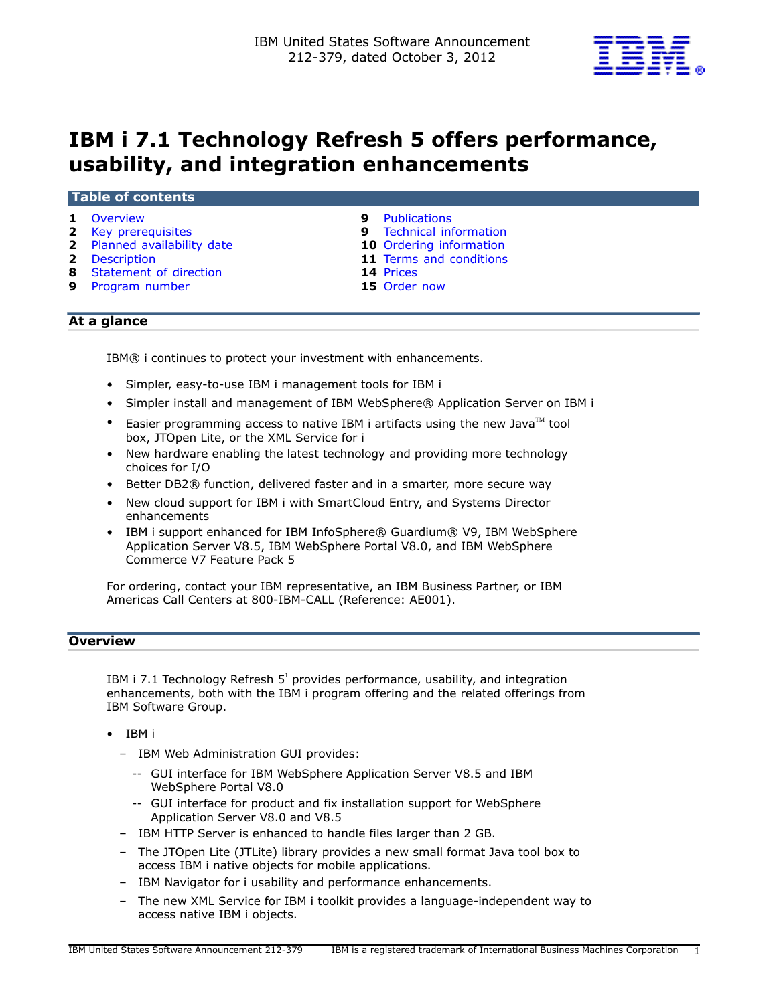

# **IBM i 7.1 Technology Refresh 5 offers performance, usability, and integration enhancements**

#### **Table of contents**

- 
- **2** [Key prerequisites](#page-1-0) **9** [Technical information](#page-8-1)
- **2** [Planned availability date](#page-1-1) **10** [Ordering information](#page-9-0)
- 
- **2** [Description](#page-1-2) **11** Terms and conditions<br> **8** Statement of direction **14** Prices **8** [Statement of direction](#page-7-0) **14** Prices<br> **9** Program number<br> **15** Order now
- **9** Program number
- **1** [Overview](#page-0-0) **9** [Publications](#page-8-0) 
	-
	-
	-
	-
	-

# **At a glance**

IBM® i continues to protect your investment with enhancements.

- Simpler, easy-to-use IBM i management tools for IBM i
- Simpler install and management of IBM WebSphere® Application Server on IBM i
- Easier programming access to native IBM i artifacts using the new Java<sup>TM</sup> tool box, JTOpen Lite, or the XML Service for i
- New hardware enabling the latest technology and providing more technology choices for I/O
- Better DB2® function, delivered faster and in a smarter, more secure way
- New cloud support for IBM i with SmartCloud Entry, and Systems Director enhancements
- IBM i support enhanced for IBM InfoSphere® Guardium® V9, IBM WebSphere Application Server V8.5, IBM WebSphere Portal V8.0, and IBM WebSphere Commerce V7 Feature Pack 5

For ordering, contact your IBM representative, an IBM Business Partner, or IBM Americas Call Centers at 800-IBM-CALL (Reference: AE001).

# <span id="page-0-0"></span>**Overview**

IBM i 7.1 Technology Refresh  $5<sup>1</sup>$  provides performance, usability, and integration enhancements, both with the IBM i program offering and the related offerings from IBM Software Group.

- IBM i
	- IBM Web Administration GUI provides:
		- -- GUI interface for IBM WebSphere Application Server V8.5 and IBM WebSphere Portal V8.0
		- -- GUI interface for product and fix installation support for WebSphere Application Server V8.0 and V8.5
	- IBM HTTP Server is enhanced to handle files larger than 2 GB.
	- The JTOpen Lite (JTLite) library provides a new small format Java tool box to access IBM i native objects for mobile applications.
	- IBM Navigator for i usability and performance enhancements.
	- The new XML Service for IBM i toolkit provides a language-independent way to access native IBM i objects.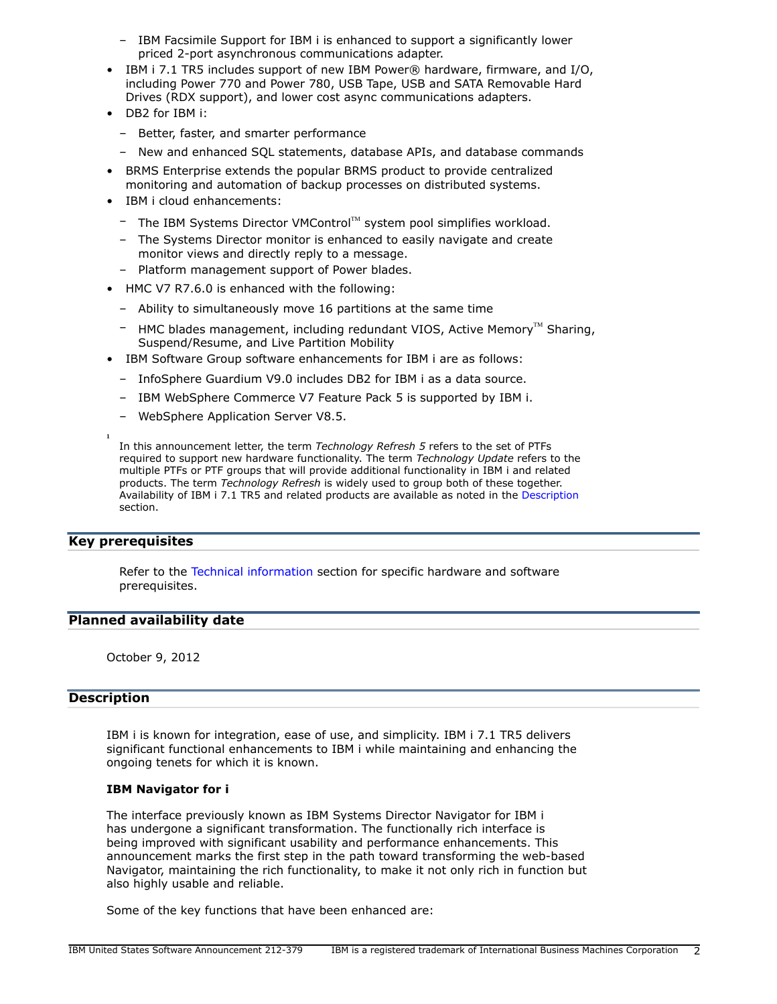- IBM Facsimile Support for IBM i is enhanced to support a significantly lower priced 2-port asynchronous communications adapter.
- IBM i 7.1 TR5 includes support of new IBM Power® hardware, firmware, and I/O, including Power 770 and Power 780, USB Tape, USB and SATA Removable Hard Drives (RDX support), and lower cost async communications adapters.
- DB2 for IBM i:
	- Better, faster, and smarter performance
	- New and enhanced SQL statements, database APIs, and database commands
- BRMS Enterprise extends the popular BRMS product to provide centralized monitoring and automation of backup processes on distributed systems.
- IBM i cloud enhancements:
	- $-$  The IBM Systems Director VMControl<sup>TM</sup> system pool simplifies workload.
	- The Systems Director monitor is enhanced to easily navigate and create monitor views and directly reply to a message.
	- Platform management support of Power blades.
- HMC V7 R7.6.0 is enhanced with the following:
	- Ability to simultaneously move 16 partitions at the same time
	- $-$  HMC blades management, including redundant VIOS, Active Memory<sup>TM</sup> Sharing, Suspend/Resume, and Live Partition Mobility
- IBM Software Group software enhancements for IBM i are as follows:
	- InfoSphere Guardium V9.0 includes DB2 for IBM i as a data source.
	- IBM WebSphere Commerce V7 Feature Pack 5 is supported by IBM i.
	- WebSphere Application Server V8.5.

In this announcement letter, the term *Technology Refresh 5* refers to the set of PTFs required to support new hardware functionality. The term *Technology Update* refers to the multiple PTFs or PTF groups that will provide additional functionality in IBM i and related products. The term *Technology Refresh* is widely used to group both of these together. Availability of IBM i 7.1 TR5 and related products are available as noted in the [Description](#page-1-2) section.

## <span id="page-1-0"></span>**Key prerequisites**

**1**

Refer to the [Technical information](#page-8-1) section for specific hardware and software prerequisites.

# <span id="page-1-1"></span>**Planned availability date**

October 9, 2012

# <span id="page-1-2"></span>**Description**

IBM i is known for integration, ease of use, and simplicity. IBM i 7.1 TR5 delivers significant functional enhancements to IBM i while maintaining and enhancing the ongoing tenets for which it is known.

#### **IBM Navigator for i**

The interface previously known as IBM Systems Director Navigator for IBM i has undergone a significant transformation. The functionally rich interface is being improved with significant usability and performance enhancements. This announcement marks the first step in the path toward transforming the web-based Navigator, maintaining the rich functionality, to make it not only rich in function but also highly usable and reliable.

Some of the key functions that have been enhanced are: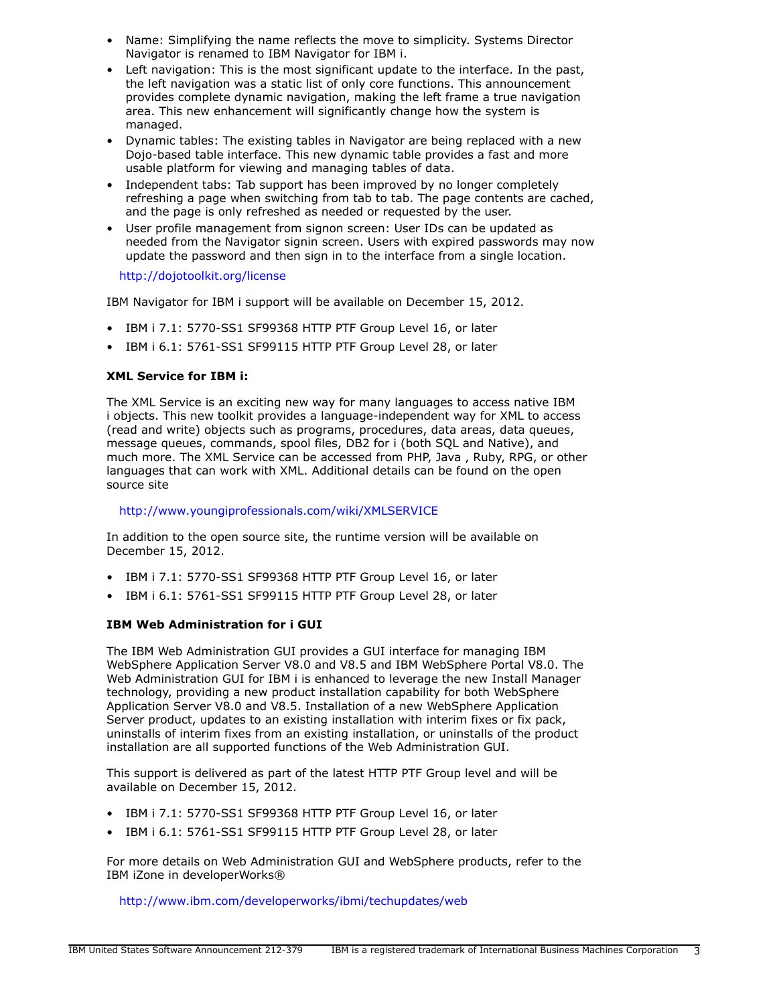- Name: Simplifying the name reflects the move to simplicity. Systems Director Navigator is renamed to IBM Navigator for IBM i.
- Left navigation: This is the most significant update to the interface. In the past, the left navigation was a static list of only core functions. This announcement provides complete dynamic navigation, making the left frame a true navigation area. This new enhancement will significantly change how the system is managed.
- Dynamic tables: The existing tables in Navigator are being replaced with a new Dojo-based table interface. This new dynamic table provides a fast and more usable platform for viewing and managing tables of data.
- Independent tabs: Tab support has been improved by no longer completely refreshing a page when switching from tab to tab. The page contents are cached, and the page is only refreshed as needed or requested by the user.
- User profile management from signon screen: User IDs can be updated as needed from the Navigator signin screen. Users with expired passwords may now update the password and then sign in to the interface from a single location.

<http://dojotoolkit.org/license>

IBM Navigator for IBM i support will be available on December 15, 2012.

- IBM i 7.1: 5770-SS1 SF99368 HTTP PTF Group Level 16, or later
- IBM i 6.1: 5761-SS1 SF99115 HTTP PTF Group Level 28, or later

## **XML Service for IBM i:**

The XML Service is an exciting new way for many languages to access native IBM i objects. This new toolkit provides a language-independent way for XML to access (read and write) objects such as programs, procedures, data areas, data queues, message queues, commands, spool files, DB2 for i (both SQL and Native), and much more. The XML Service can be accessed from PHP, Java , Ruby, RPG, or other languages that can work with XML. Additional details can be found on the open source site

#### <http://www.youngiprofessionals.com/wiki/XMLSERVICE>

In addition to the open source site, the runtime version will be available on December 15, 2012.

- IBM i 7.1: 5770-SS1 SF99368 HTTP PTF Group Level 16, or later
- IBM i 6.1: 5761-SS1 SF99115 HTTP PTF Group Level 28, or later

# **IBM Web Administration for i GUI**

The IBM Web Administration GUI provides a GUI interface for managing IBM WebSphere Application Server V8.0 and V8.5 and IBM WebSphere Portal V8.0. The Web Administration GUI for IBM i is enhanced to leverage the new Install Manager technology, providing a new product installation capability for both WebSphere Application Server V8.0 and V8.5. Installation of a new WebSphere Application Server product, updates to an existing installation with interim fixes or fix pack, uninstalls of interim fixes from an existing installation, or uninstalls of the product installation are all supported functions of the Web Administration GUI.

This support is delivered as part of the latest HTTP PTF Group level and will be available on December 15, 2012.

- IBM i 7.1: 5770-SS1 SF99368 HTTP PTF Group Level 16, or later
- IBM i 6.1: 5761-SS1 SF99115 HTTP PTF Group Level 28, or later

For more details on Web Administration GUI and WebSphere products, refer to the IBM iZone in developerWorks®

<http://www.ibm.com/developerworks/ibmi/techupdates/web>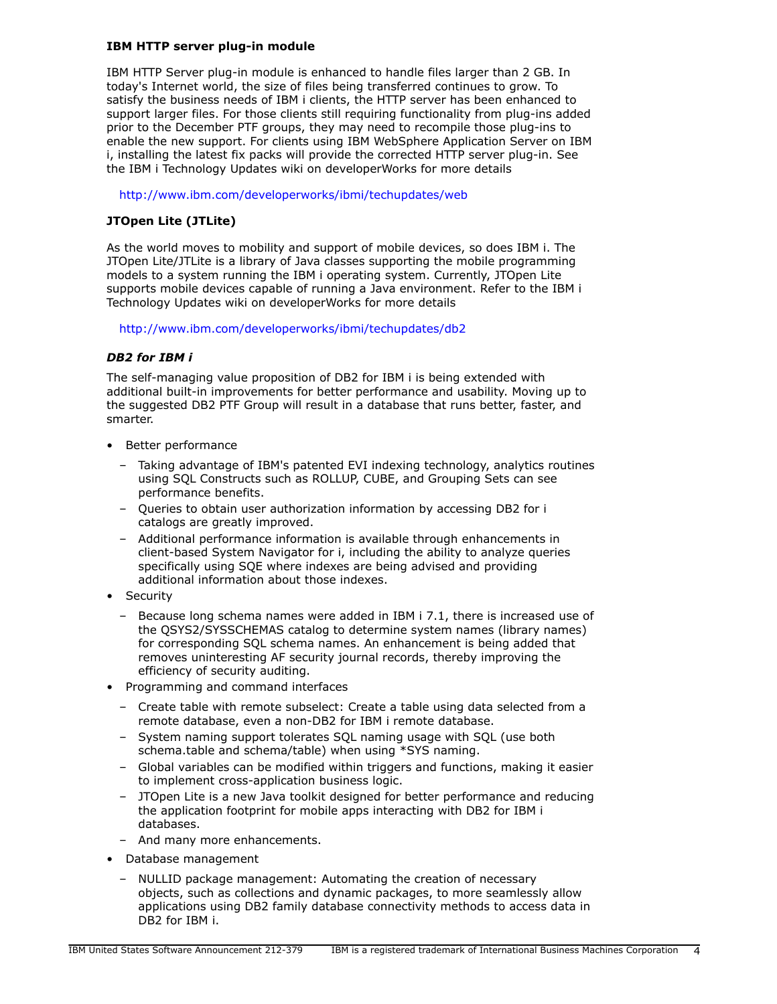# **IBM HTTP server plug-in module**

IBM HTTP Server plug-in module is enhanced to handle files larger than 2 GB. In today's Internet world, the size of files being transferred continues to grow. To satisfy the business needs of IBM i clients, the HTTP server has been enhanced to support larger files. For those clients still requiring functionality from plug-ins added prior to the December PTF groups, they may need to recompile those plug-ins to enable the new support. For clients using IBM WebSphere Application Server on IBM i, installing the latest fix packs will provide the corrected HTTP server plug-in. See the IBM i Technology Updates wiki on developerWorks for more details

<http://www.ibm.com/developerworks/ibmi/techupdates/web>

# **JTOpen Lite (JTLite)**

As the world moves to mobility and support of mobile devices, so does IBM i. The JTOpen Lite/JTLite is a library of Java classes supporting the mobile programming models to a system running the IBM i operating system. Currently, JTOpen Lite supports mobile devices capable of running a Java environment. Refer to the IBM i Technology Updates wiki on developerWorks for more details

<http://www.ibm.com/developerworks/ibmi/techupdates/db2>

# *DB2 for IBM i*

The self-managing value proposition of DB2 for IBM i is being extended with additional built-in improvements for better performance and usability. Moving up to the suggested DB2 PTF Group will result in a database that runs better, faster, and smarter.

- Better performance
	- Taking advantage of IBM's patented EVI indexing technology, analytics routines using SQL Constructs such as ROLLUP, CUBE, and Grouping Sets can see performance benefits.
	- Queries to obtain user authorization information by accessing DB2 for i catalogs are greatly improved.
	- Additional performance information is available through enhancements in client-based System Navigator for i, including the ability to analyze queries specifically using SQE where indexes are being advised and providing additional information about those indexes.
- Security
	- Because long schema names were added in IBM i 7.1, there is increased use of the QSYS2/SYSSCHEMAS catalog to determine system names (library names) for corresponding SQL schema names. An enhancement is being added that removes uninteresting AF security journal records, thereby improving the efficiency of security auditing.
- Programming and command interfaces
	- Create table with remote subselect: Create a table using data selected from a remote database, even a non-DB2 for IBM i remote database.
	- System naming support tolerates SQL naming usage with SQL (use both schema.table and schema/table) when using \*SYS naming.
	- Global variables can be modified within triggers and functions, making it easier to implement cross-application business logic.
	- JTOpen Lite is a new Java toolkit designed for better performance and reducing the application footprint for mobile apps interacting with DB2 for IBM i databases.
	- And many more enhancements.
- Database management
	- NULLID package management: Automating the creation of necessary objects, such as collections and dynamic packages, to more seamlessly allow applications using DB2 family database connectivity methods to access data in DB2 for IBM i.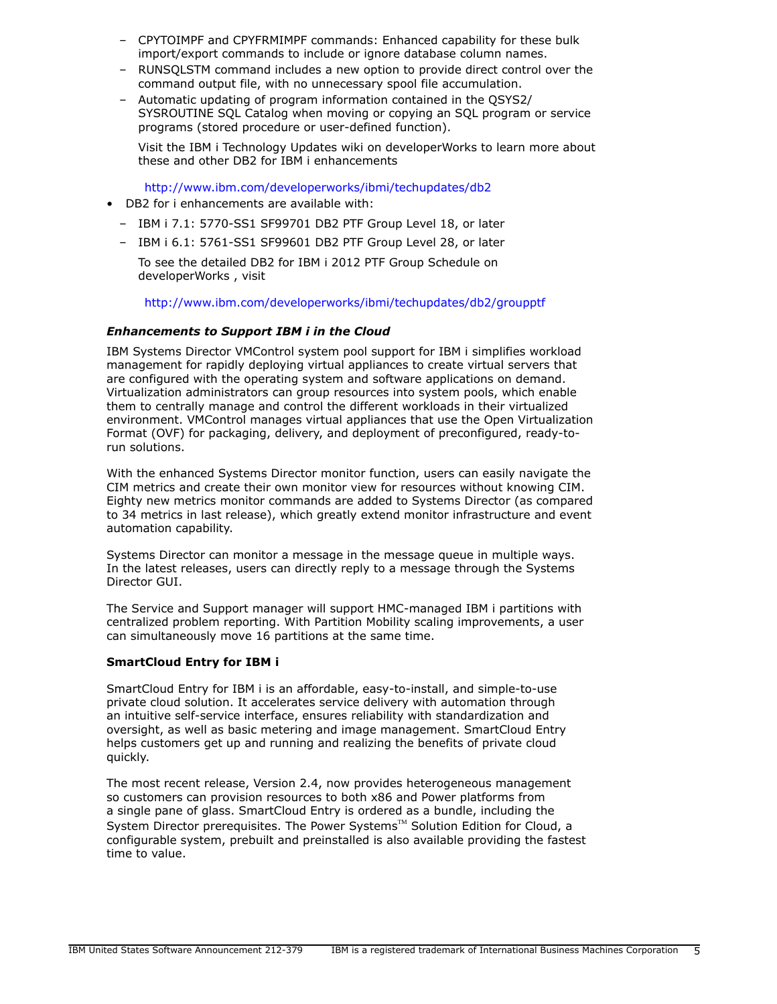- CPYTOIMPF and CPYFRMIMPF commands: Enhanced capability for these bulk import/export commands to include or ignore database column names.
- RUNSQLSTM command includes a new option to provide direct control over the command output file, with no unnecessary spool file accumulation.
- Automatic updating of program information contained in the QSYS2/ SYSROUTINE SQL Catalog when moving or copying an SQL program or service programs (stored procedure or user-defined function).

Visit the IBM i Technology Updates wiki on developerWorks to learn more about these and other DB2 for IBM i enhancements

<http://www.ibm.com/developerworks/ibmi/techupdates/db2>

- DB2 for i enhancements are available with:
	- IBM i 7.1: 5770-SS1 SF99701 DB2 PTF Group Level 18, or later
	- IBM i 6.1: 5761-SS1 SF99601 DB2 PTF Group Level 28, or later

To see the detailed DB2 for IBM i 2012 PTF Group Schedule on developerWorks , visit

<http://www.ibm.com/developerworks/ibmi/techupdates/db2/groupptf>

# *Enhancements to Support IBM i in the Cloud*

IBM Systems Director VMControl system pool support for IBM i simplifies workload management for rapidly deploying virtual appliances to create virtual servers that are configured with the operating system and software applications on demand. Virtualization administrators can group resources into system pools, which enable them to centrally manage and control the different workloads in their virtualized environment. VMControl manages virtual appliances that use the Open Virtualization Format (OVF) for packaging, delivery, and deployment of preconfigured, ready-torun solutions.

With the enhanced Systems Director monitor function, users can easily navigate the CIM metrics and create their own monitor view for resources without knowing CIM. Eighty new metrics monitor commands are added to Systems Director (as compared to 34 metrics in last release), which greatly extend monitor infrastructure and event automation capability.

Systems Director can monitor a message in the message queue in multiple ways. In the latest releases, users can directly reply to a message through the Systems Director GUI.

The Service and Support manager will support HMC-managed IBM i partitions with centralized problem reporting. With Partition Mobility scaling improvements, a user can simultaneously move 16 partitions at the same time.

#### **SmartCloud Entry for IBM i**

SmartCloud Entry for IBM i is an affordable, easy-to-install, and simple-to-use private cloud solution. It accelerates service delivery with automation through an intuitive self-service interface, ensures reliability with standardization and oversight, as well as basic metering and image management. SmartCloud Entry helps customers get up and running and realizing the benefits of private cloud quickly.

The most recent release, Version 2.4, now provides heterogeneous management so customers can provision resources to both x86 and Power platforms from a single pane of glass. SmartCloud Entry is ordered as a bundle, including the System Director prerequisites. The Power Systems™ Solution Edition for Cloud, a configurable system, prebuilt and preinstalled is also available providing the fastest time to value.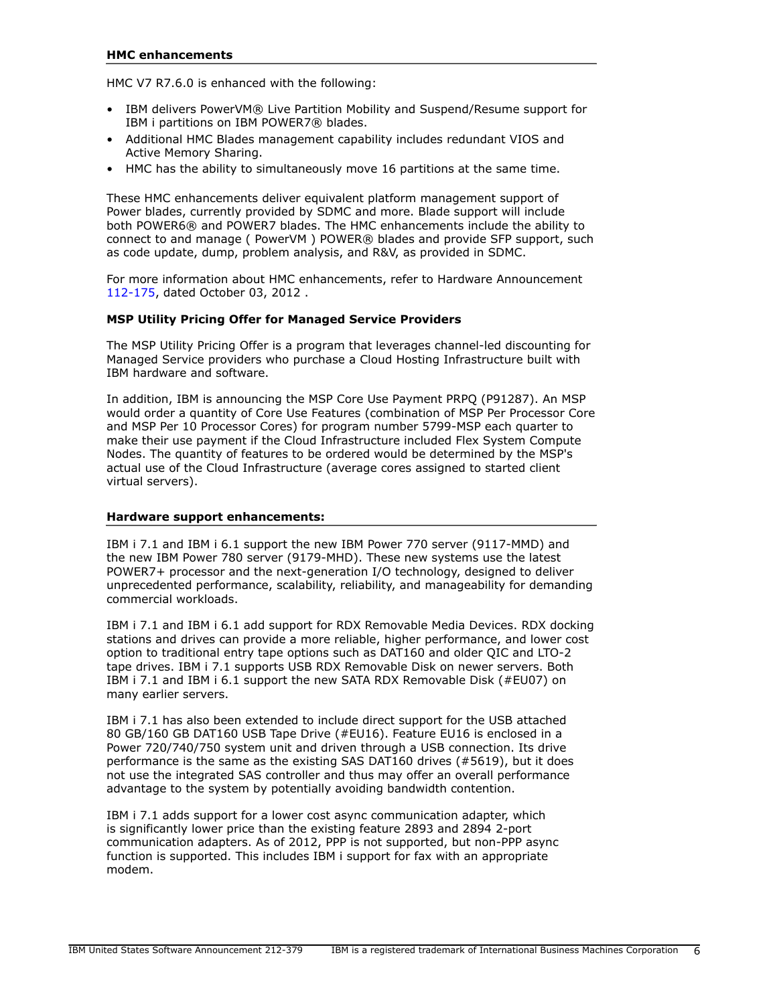HMC V7 R7.6.0 is enhanced with the following:

- IBM delivers PowerVM® Live Partition Mobility and Suspend/Resume support for IBM i partitions on IBM POWER7® blades.
- Additional HMC Blades management capability includes redundant VIOS and Active Memory Sharing.
- HMC has the ability to simultaneously move 16 partitions at the same time.

These HMC enhancements deliver equivalent platform management support of Power blades, currently provided by SDMC and more. Blade support will include both POWER6® and POWER7 blades. The HMC enhancements include the ability to connect to and manage ( PowerVM ) POWER® blades and provide SFP support, such as code update, dump, problem analysis, and R&V, as provided in SDMC.

For more information about HMC enhancements, refer to Hardware Announcement [112-175](http://www.ibm.com/common/ssi/cgi-bin/ssialias?infotype=an&subtype=ca&appname=gpateam&supplier=897&letternum=ENUS112-175), dated October 03, 2012 .

## **MSP Utility Pricing Offer for Managed Service Providers**

The MSP Utility Pricing Offer is a program that leverages channel-led discounting for Managed Service providers who purchase a Cloud Hosting Infrastructure built with IBM hardware and software.

In addition, IBM is announcing the MSP Core Use Payment PRPQ (P91287). An MSP would order a quantity of Core Use Features (combination of MSP Per Processor Core and MSP Per 10 Processor Cores) for program number 5799-MSP each quarter to make their use payment if the Cloud Infrastructure included Flex System Compute Nodes. The quantity of features to be ordered would be determined by the MSP's actual use of the Cloud Infrastructure (average cores assigned to started client virtual servers).

### **Hardware support enhancements:**

IBM i 7.1 and IBM i 6.1 support the new IBM Power 770 server (9117-MMD) and the new IBM Power 780 server (9179-MHD). These new systems use the latest POWER7+ processor and the next-generation I/O technology, designed to deliver unprecedented performance, scalability, reliability, and manageability for demanding commercial workloads.

IBM i 7.1 and IBM i 6.1 add support for RDX Removable Media Devices. RDX docking stations and drives can provide a more reliable, higher performance, and lower cost option to traditional entry tape options such as DAT160 and older QIC and LTO-2 tape drives. IBM i 7.1 supports USB RDX Removable Disk on newer servers. Both IBM i 7.1 and IBM i 6.1 support the new SATA RDX Removable Disk (#EU07) on many earlier servers.

IBM i 7.1 has also been extended to include direct support for the USB attached 80 GB/160 GB DAT160 USB Tape Drive (#EU16). Feature EU16 is enclosed in a Power 720/740/750 system unit and driven through a USB connection. Its drive performance is the same as the existing SAS DAT160 drives (#5619), but it does not use the integrated SAS controller and thus may offer an overall performance advantage to the system by potentially avoiding bandwidth contention.

IBM i 7.1 adds support for a lower cost async communication adapter, which is significantly lower price than the existing feature 2893 and 2894 2-port communication adapters. As of 2012, PPP is not supported, but non-PPP async function is supported. This includes IBM i support for fax with an appropriate modem.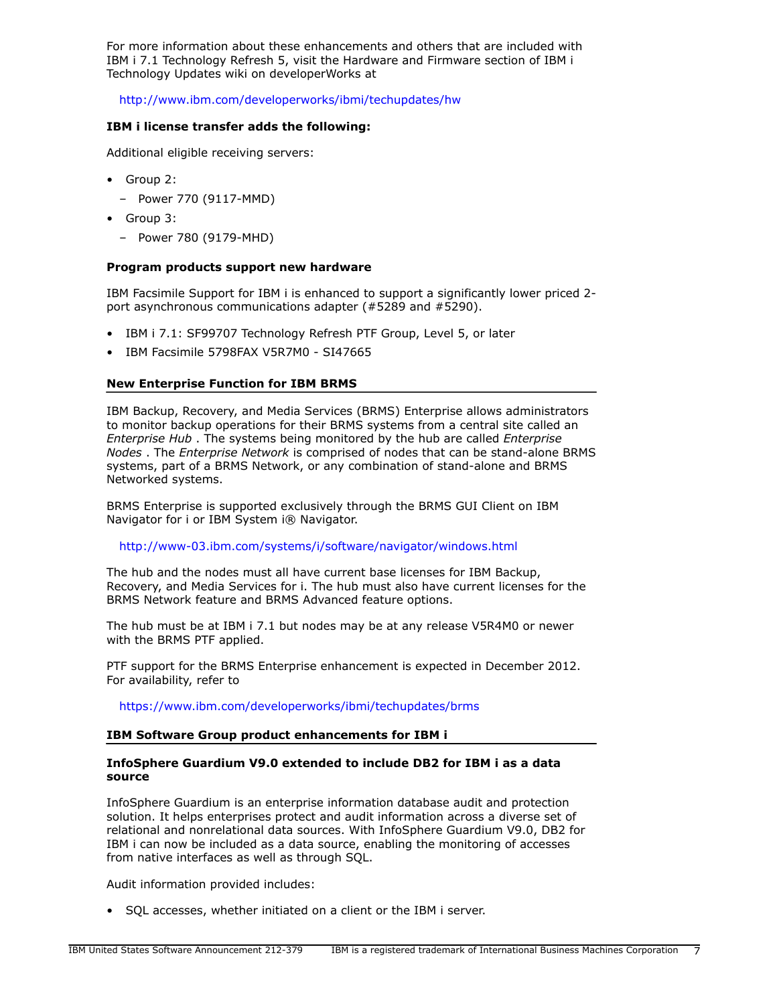For more information about these enhancements and others that are included with IBM i 7.1 Technology Refresh 5, visit the Hardware and Firmware section of IBM i Technology Updates wiki on developerWorks at

<http://www.ibm.com/developerworks/ibmi/techupdates/hw>

# **IBM i license transfer adds the following:**

Additional eligible receiving servers:

- Group 2:
	- Power 770 (9117-MMD)
- Group 3:
	- Power 780 (9179-MHD)

#### **Program products support new hardware**

IBM Facsimile Support for IBM i is enhanced to support a significantly lower priced 2 port asynchronous communications adapter (#5289 and #5290).

- IBM i 7.1: SF99707 Technology Refresh PTF Group, Level 5, or later
- IBM Facsimile 5798FAX V5R7M0 SI47665

## **New Enterprise Function for IBM BRMS**

IBM Backup, Recovery, and Media Services (BRMS) Enterprise allows administrators to monitor backup operations for their BRMS systems from a central site called an *Enterprise Hub* . The systems being monitored by the hub are called *Enterprise Nodes* . The *Enterprise Network* is comprised of nodes that can be stand-alone BRMS systems, part of a BRMS Network, or any combination of stand-alone and BRMS Networked systems.

BRMS Enterprise is supported exclusively through the BRMS GUI Client on IBM Navigator for i or IBM System i® Navigator.

<http://www-03.ibm.com/systems/i/software/navigator/windows.html>

The hub and the nodes must all have current base licenses for IBM Backup, Recovery, and Media Services for i. The hub must also have current licenses for the BRMS Network feature and BRMS Advanced feature options.

The hub must be at IBM i 7.1 but nodes may be at any release V5R4M0 or newer with the BRMS PTF applied.

PTF support for the BRMS Enterprise enhancement is expected in December 2012. For availability, refer to

<https://www.ibm.com/developerworks/ibmi/techupdates/brms>

#### **IBM Software Group product enhancements for IBM i**

## **InfoSphere Guardium V9.0 extended to include DB2 for IBM i as a data source**

InfoSphere Guardium is an enterprise information database audit and protection solution. It helps enterprises protect and audit information across a diverse set of relational and nonrelational data sources. With InfoSphere Guardium V9.0, DB2 for IBM i can now be included as a data source, enabling the monitoring of accesses from native interfaces as well as through SQL.

Audit information provided includes:

• SQL accesses, whether initiated on a client or the IBM i server.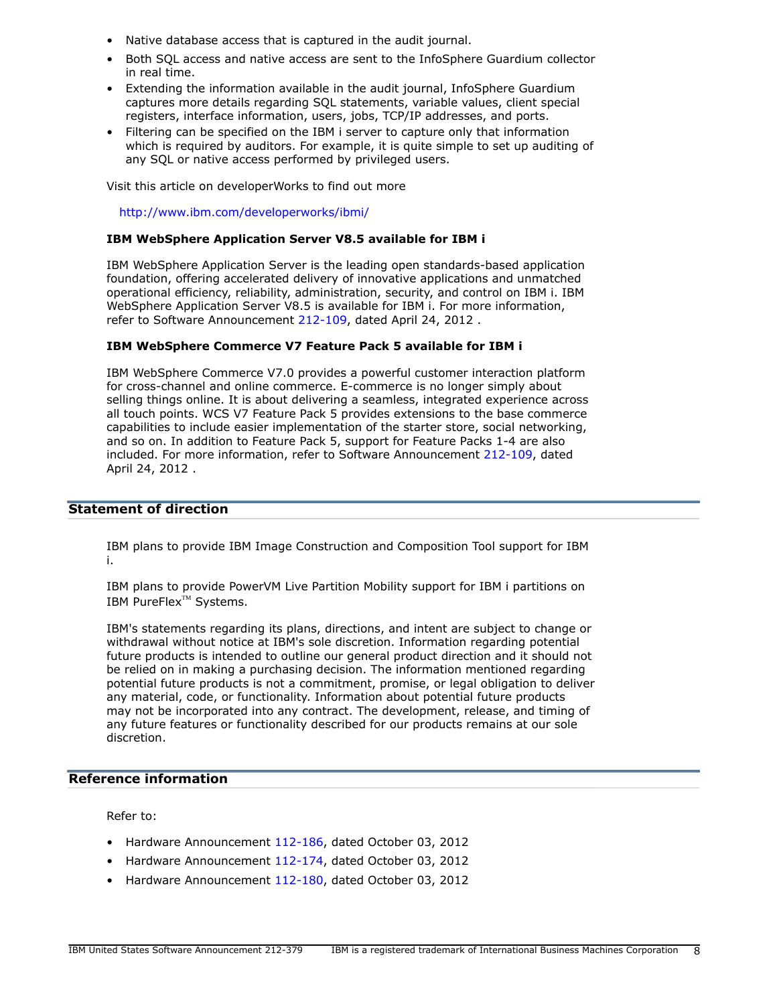- Native database access that is captured in the audit journal.
- Both SQL access and native access are sent to the InfoSphere Guardium collector in real time.
- Extending the information available in the audit journal, InfoSphere Guardium captures more details regarding SQL statements, variable values, client special registers, interface information, users, jobs, TCP/IP addresses, and ports.
- Filtering can be specified on the IBM i server to capture only that information which is required by auditors. For example, it is quite simple to set up auditing of any SQL or native access performed by privileged users.

Visit this article on developerWorks to find out more

<http://www.ibm.com/developerworks/ibmi/>

# **IBM WebSphere Application Server V8.5 available for IBM i**

IBM WebSphere Application Server is the leading open standards-based application foundation, offering accelerated delivery of innovative applications and unmatched operational efficiency, reliability, administration, security, and control on IBM i. IBM WebSphere Application Server V8.5 is available for IBM i. For more information, refer to Software Announcement [212-109](http://www.ibm.com/common/ssi/cgi-bin/ssialias?infotype=an&subtype=ca&appname=gpateam&supplier=897&letternum=ENUS212-109), dated April 24, 2012 .

# **IBM WebSphere Commerce V7 Feature Pack 5 available for IBM i**

IBM WebSphere Commerce V7.0 provides a powerful customer interaction platform for cross-channel and online commerce. E-commerce is no longer simply about selling things online. It is about delivering a seamless, integrated experience across all touch points. WCS V7 Feature Pack 5 provides extensions to the base commerce capabilities to include easier implementation of the starter store, social networking, and so on. In addition to Feature Pack 5, support for Feature Packs 1-4 are also included. For more information, refer to Software Announcement [212-109,](http://www.ibm.com/common/ssi/cgi-bin/ssialias?infotype=an&subtype=ca&appname=gpateam&supplier=897&letternum=ENUS212-109) dated April 24, 2012 .

# <span id="page-7-0"></span>**Statement of direction**

IBM plans to provide IBM Image Construction and Composition Tool support for IBM i.

IBM plans to provide PowerVM Live Partition Mobility support for IBM i partitions on IBM PureFlex $T^M$  Systems.

IBM's statements regarding its plans, directions, and intent are subject to change or withdrawal without notice at IBM's sole discretion. Information regarding potential future products is intended to outline our general product direction and it should not be relied on in making a purchasing decision. The information mentioned regarding potential future products is not a commitment, promise, or legal obligation to deliver any material, code, or functionality. Information about potential future products may not be incorporated into any contract. The development, release, and timing of any future features or functionality described for our products remains at our sole discretion.

# **Reference information**

Refer to:

- Hardware Announcement [112-186,](http://www.ibm.com/common/ssi/cgi-bin/ssialias?infotype=an&subtype=ca&appname=gpateam&supplier=897&letternum=ENUS112-186) dated October 03, 2012
- Hardware Announcement [112-174,](http://www.ibm.com/common/ssi/cgi-bin/ssialias?infotype=an&subtype=ca&appname=gpateam&supplier=897&letternum=ENUS112-174) dated October 03, 2012
- Hardware Announcement [112-180,](http://www.ibm.com/common/ssi/cgi-bin/ssialias?infotype=an&subtype=ca&appname=gpateam&supplier=897&letternum=ENUS112-180) dated October 03, 2012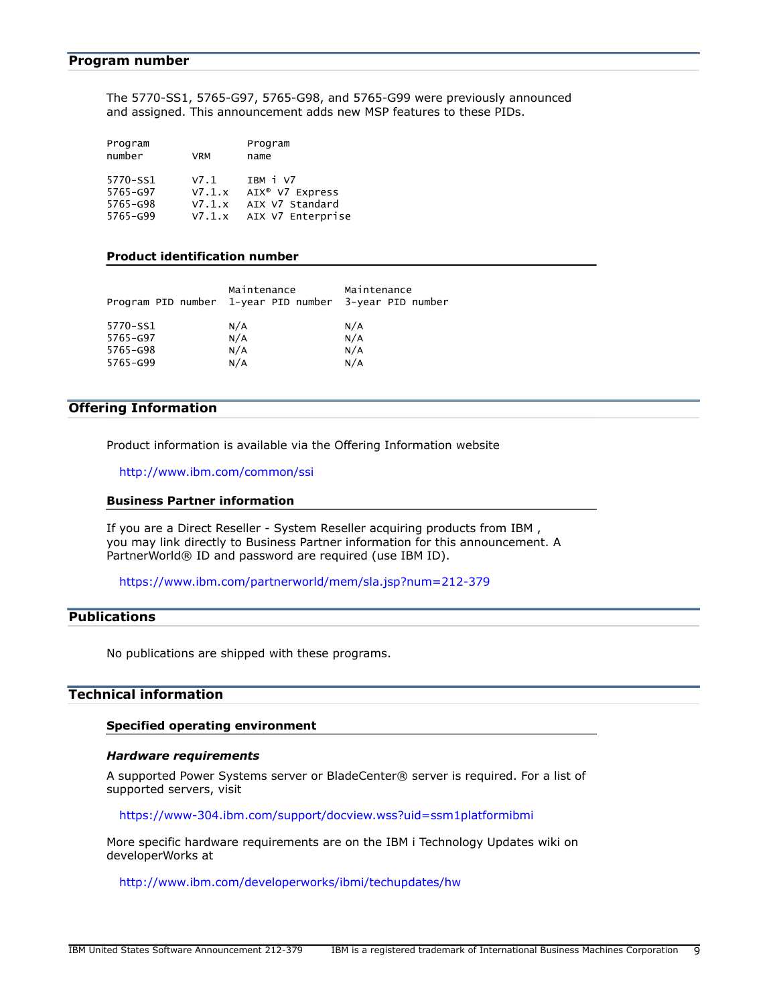#### <span id="page-8-2"></span>**Program number**

The 5770-SS1, 5765-G97, 5765-G98, and 5765-G99 were previously announced and assigned. This announcement adds new MSP features to these PIDs.

|            | Program                     |
|------------|-----------------------------|
| <b>VRM</b> | name                        |
|            |                             |
| V7.1       | IBM i V7                    |
| V7.1.x     | AIX <sup>®</sup> V7 Express |
| V7.1.x     | AIX V7 Standard             |
| V7.1.x     | AIX V7 Enterprise           |
|            |                             |

#### **Product identification number**

| Program PID number 1-year PID number 3-year PID number | Maintenance | Maintenance |
|--------------------------------------------------------|-------------|-------------|
| 5770-SS1                                               | N/A         | N/A         |
| 5765-G97                                               | N/A         | N/A         |
| 5765-G98                                               | N/A         | N/A         |
| 5765-G99                                               | N/A         | N/A         |

# **Offering Information**

Product information is available via the Offering Information website

#### <http://www.ibm.com/common/ssi>

#### **Business Partner information**

If you are a Direct Reseller - System Reseller acquiring products from IBM , you may link directly to Business Partner information for this announcement. A PartnerWorld® ID and password are required (use IBM ID).

<https://www.ibm.com/partnerworld/mem/sla.jsp?num=212-379>

# <span id="page-8-0"></span>**Publications**

No publications are shipped with these programs.

# <span id="page-8-1"></span>**Technical information**

#### **Specified operating environment**

#### *Hardware requirements*

A supported Power Systems server or BladeCenter® server is required. For a list of supported servers, visit

#### <https://www-304.ibm.com/support/docview.wss?uid=ssm1platformibmi>

More specific hardware requirements are on the IBM i Technology Updates wiki on developerWorks at

<http://www.ibm.com/developerworks/ibmi/techupdates/hw>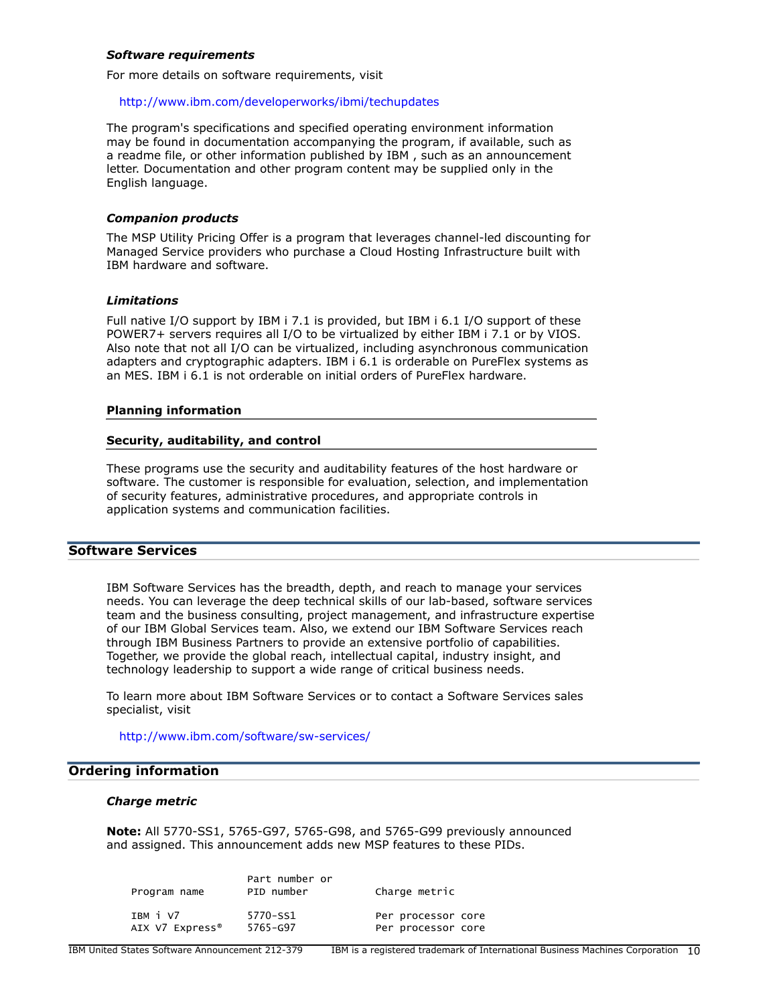#### *Software requirements*

For more details on software requirements, visit

### <http://www.ibm.com/developerworks/ibmi/techupdates>

The program's specifications and specified operating environment information may be found in documentation accompanying the program, if available, such as a readme file, or other information published by IBM , such as an announcement letter. Documentation and other program content may be supplied only in the English language.

#### *Companion products*

The MSP Utility Pricing Offer is a program that leverages channel-led discounting for Managed Service providers who purchase a Cloud Hosting Infrastructure built with IBM hardware and software.

#### *Limitations*

Full native I/O support by IBM i 7.1 is provided, but IBM i 6.1 I/O support of these POWER7+ servers requires all I/O to be virtualized by either IBM i 7.1 or by VIOS. Also note that not all I/O can be virtualized, including asynchronous communication adapters and cryptographic adapters. IBM i 6.1 is orderable on PureFlex systems as an MES. IBM i 6.1 is not orderable on initial orders of PureFlex hardware.

#### **Planning information**

#### **Security, auditability, and control**

These programs use the security and auditability features of the host hardware or software. The customer is responsible for evaluation, selection, and implementation of security features, administrative procedures, and appropriate controls in application systems and communication facilities.

# **Software Services**

IBM Software Services has the breadth, depth, and reach to manage your services needs. You can leverage the deep technical skills of our lab-based, software services team and the business consulting, project management, and infrastructure expertise of our IBM Global Services team. Also, we extend our IBM Software Services reach through IBM Business Partners to provide an extensive portfolio of capabilities. Together, we provide the global reach, intellectual capital, industry insight, and technology leadership to support a wide range of critical business needs.

To learn more about IBM Software Services or to contact a Software Services sales specialist, visit

<http://www.ibm.com/software/sw-services/>

## <span id="page-9-0"></span>**Ordering information**

#### *Charge metric*

**Note:** All 5770-SS1, 5765-G97, 5765-G98, and 5765-G99 previously announced and assigned. This announcement adds new MSP features to these PIDs.

| Program name    | Part number or<br>PID number | Charge metric      |
|-----------------|------------------------------|--------------------|
| IBM i V7        | 5770-SS1                     | Per processor core |
| AIX V7 Express® | 5765-G97                     | Per processor core |

IBM United States Software Announcement 212-379 IBM is a registered trademark of International Business Machines Corporation  $10$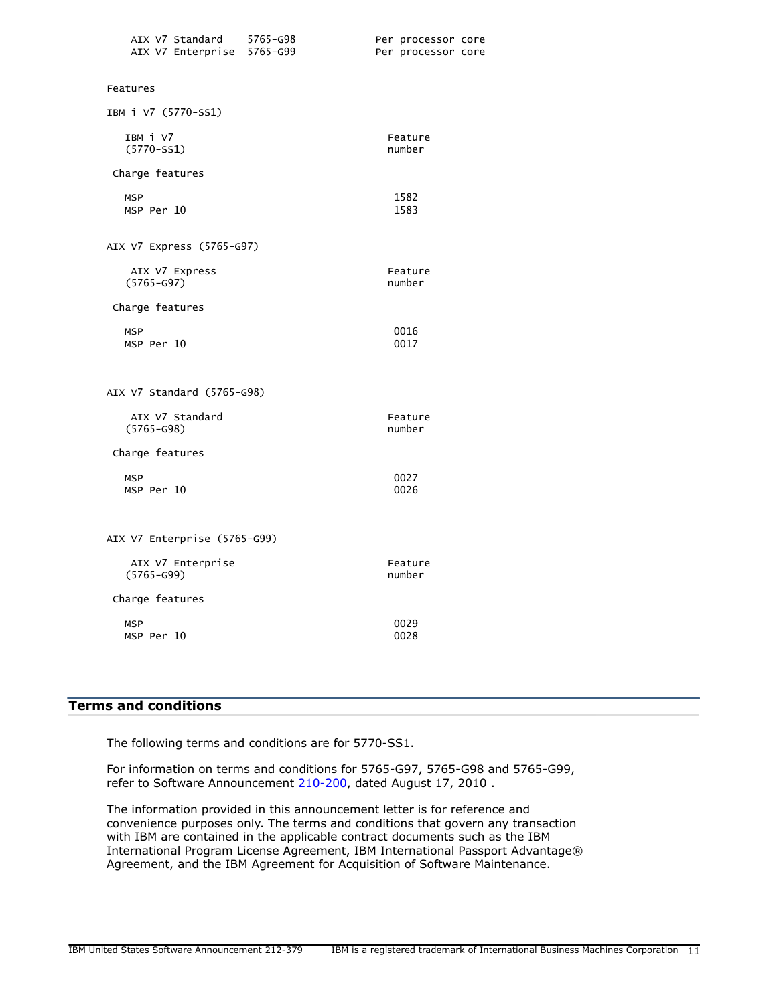| AIX V7 Standard<br>AIX V7 Enterprise 5765-G99 | 5765-G98 | Per processor core<br>Per processor core |
|-----------------------------------------------|----------|------------------------------------------|
| Features                                      |          |                                          |
| IBM i V7 (5770-SS1)                           |          |                                          |
| IBM i V7<br>$(5770 - SS1)$                    |          | Feature<br>number                        |
| Charge features                               |          |                                          |
| <b>MSP</b><br>MSP Per 10                      |          | 1582<br>1583                             |
| AIX V7 Express (5765-G97)                     |          |                                          |
| AIX V7 Express<br>$(5765-G97)$                |          | Feature<br>number                        |
| Charge features                               |          |                                          |
| <b>MSP</b><br>MSP Per 10                      |          | 0016<br>0017                             |
| AIX V7 Standard (5765-G98)                    |          |                                          |
| AIX V7 Standard<br>$(5765 - G98)$             |          | Feature<br>number                        |
| Charge features                               |          |                                          |
| <b>MSP</b><br>MSP Per 10                      |          | 0027<br>0026                             |
| AIX V7 Enterprise (5765-G99)                  |          |                                          |
| AIX V7 Enterprise<br>$(5765 - G99)$           |          | Feature<br>number                        |
| Charge features                               |          |                                          |
| <b>MSP</b><br>MSP Per 10                      |          | 0029<br>0028                             |
|                                               |          |                                          |

# <span id="page-10-0"></span>**Terms and conditions**

The following terms and conditions are for 5770-SS1.

For information on terms and conditions for 5765-G97, 5765-G98 and 5765-G99, refer to Software Announcement [210-200](http://www.ibm.com/common/ssi/cgi-bin/ssialias?infotype=an&subtype=ca&appname=gpateam&supplier=897&letternum=ENUS210-200), dated August 17, 2010 .

The information provided in this announcement letter is for reference and convenience purposes only. The terms and conditions that govern any transaction with IBM are contained in the applicable contract documents such as the IBM International Program License Agreement, IBM International Passport Advantage® Agreement, and the IBM Agreement for Acquisition of Software Maintenance.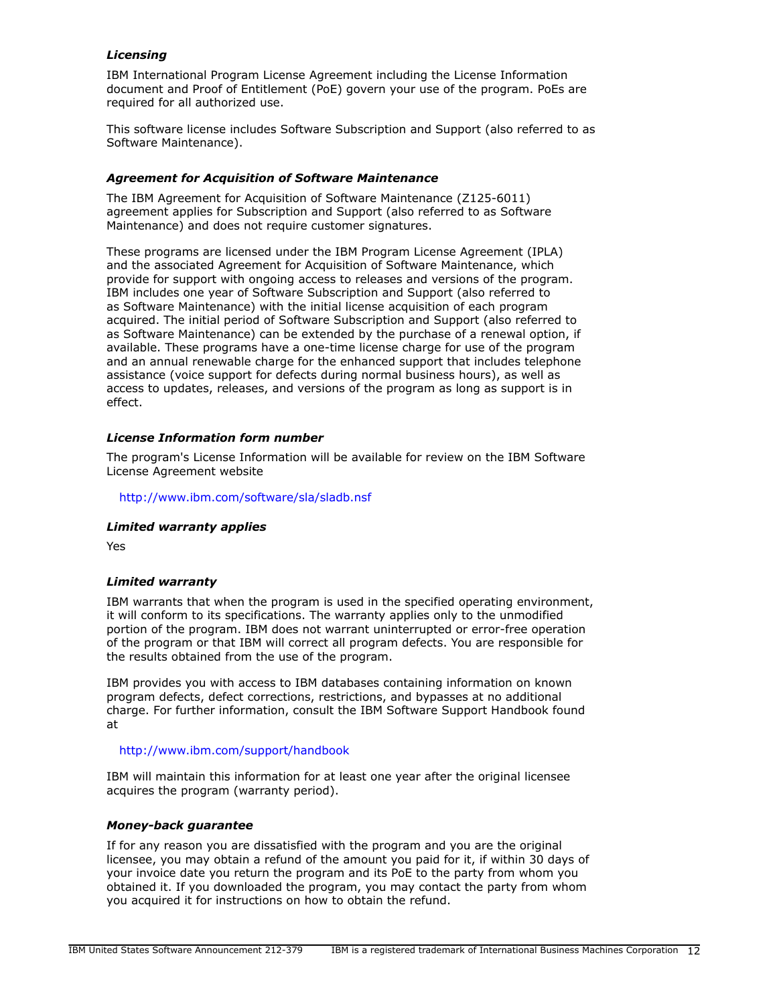# *Licensing*

IBM International Program License Agreement including the License Information document and Proof of Entitlement (PoE) govern your use of the program. PoEs are required for all authorized use.

This software license includes Software Subscription and Support (also referred to as Software Maintenance).

# *Agreement for Acquisition of Software Maintenance*

The IBM Agreement for Acquisition of Software Maintenance (Z125-6011) agreement applies for Subscription and Support (also referred to as Software Maintenance) and does not require customer signatures.

These programs are licensed under the IBM Program License Agreement (IPLA) and the associated Agreement for Acquisition of Software Maintenance, which provide for support with ongoing access to releases and versions of the program. IBM includes one year of Software Subscription and Support (also referred to as Software Maintenance) with the initial license acquisition of each program acquired. The initial period of Software Subscription and Support (also referred to as Software Maintenance) can be extended by the purchase of a renewal option, if available. These programs have a one-time license charge for use of the program and an annual renewable charge for the enhanced support that includes telephone assistance (voice support for defects during normal business hours), as well as access to updates, releases, and versions of the program as long as support is in effect.

## *License Information form number*

The program's License Information will be available for review on the IBM Software License Agreement website

<http://www.ibm.com/software/sla/sladb.nsf>

#### *Limited warranty applies*

Yes

# *Limited warranty*

IBM warrants that when the program is used in the specified operating environment, it will conform to its specifications. The warranty applies only to the unmodified portion of the program. IBM does not warrant uninterrupted or error-free operation of the program or that IBM will correct all program defects. You are responsible for the results obtained from the use of the program.

IBM provides you with access to IBM databases containing information on known program defects, defect corrections, restrictions, and bypasses at no additional charge. For further information, consult the IBM Software Support Handbook found at

#### <http://www.ibm.com/support/handbook>

IBM will maintain this information for at least one year after the original licensee acquires the program (warranty period).

#### *Money-back guarantee*

If for any reason you are dissatisfied with the program and you are the original licensee, you may obtain a refund of the amount you paid for it, if within 30 days of your invoice date you return the program and its PoE to the party from whom you obtained it. If you downloaded the program, you may contact the party from whom you acquired it for instructions on how to obtain the refund.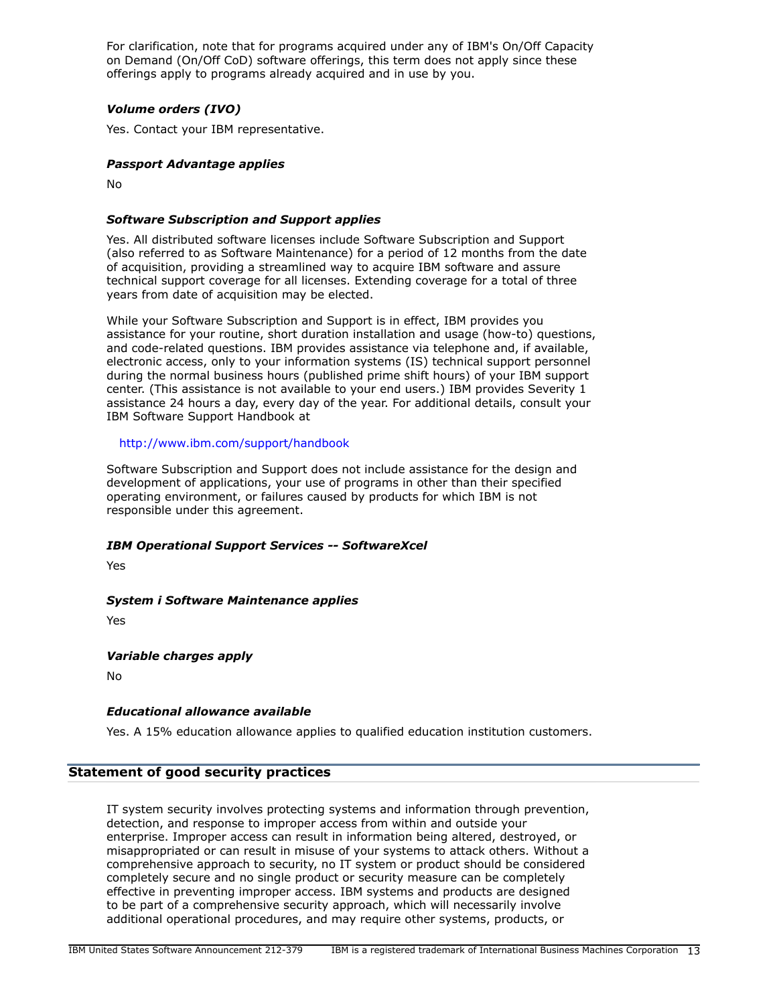For clarification, note that for programs acquired under any of IBM's On/Off Capacity on Demand (On/Off CoD) software offerings, this term does not apply since these offerings apply to programs already acquired and in use by you.

# *Volume orders (IVO)*

Yes. Contact your IBM representative.

# *Passport Advantage applies*

No

# *Software Subscription and Support applies*

Yes. All distributed software licenses include Software Subscription and Support (also referred to as Software Maintenance) for a period of 12 months from the date of acquisition, providing a streamlined way to acquire IBM software and assure technical support coverage for all licenses. Extending coverage for a total of three years from date of acquisition may be elected.

While your Software Subscription and Support is in effect, IBM provides you assistance for your routine, short duration installation and usage (how-to) questions, and code-related questions. IBM provides assistance via telephone and, if available, electronic access, only to your information systems (IS) technical support personnel during the normal business hours (published prime shift hours) of your IBM support center. (This assistance is not available to your end users.) IBM provides Severity 1 assistance 24 hours a day, every day of the year. For additional details, consult your IBM Software Support Handbook at

## <http://www.ibm.com/support/handbook>

Software Subscription and Support does not include assistance for the design and development of applications, your use of programs in other than their specified operating environment, or failures caused by products for which IBM is not responsible under this agreement.

# *IBM Operational Support Services -- SoftwareXcel*

Yes

# *System i Software Maintenance applies*

Yes

*Variable charges apply*

No

# *Educational allowance available*

Yes. A 15% education allowance applies to qualified education institution customers.

# **Statement of good security practices**

IT system security involves protecting systems and information through prevention, detection, and response to improper access from within and outside your enterprise. Improper access can result in information being altered, destroyed, or misappropriated or can result in misuse of your systems to attack others. Without a comprehensive approach to security, no IT system or product should be considered completely secure and no single product or security measure can be completely effective in preventing improper access. IBM systems and products are designed to be part of a comprehensive security approach, which will necessarily involve additional operational procedures, and may require other systems, products, or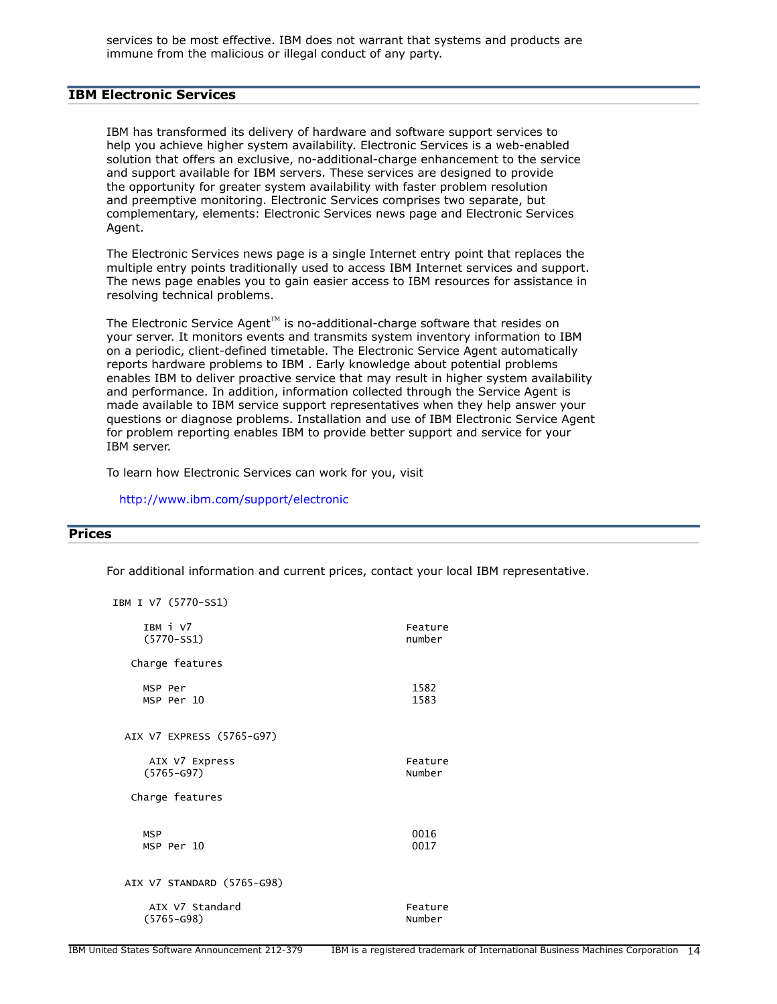services to be most effective. IBM does not warrant that systems and products are immune from the malicious or illegal conduct of any party.

# **IBM Electronic Services**

IBM has transformed its delivery of hardware and software support services to help you achieve higher system availability. Electronic Services is a web-enabled solution that offers an exclusive, no-additional-charge enhancement to the service and support available for IBM servers. These services are designed to provide the opportunity for greater system availability with faster problem resolution and preemptive monitoring. Electronic Services comprises two separate, but complementary, elements: Electronic Services news page and Electronic Services Agent.

The Electronic Services news page is a single Internet entry point that replaces the multiple entry points traditionally used to access IBM Internet services and support. The news page enables you to gain easier access to IBM resources for assistance in resolving technical problems.

The Electronic Service Agent $T^M$  is no-additional-charge software that resides on your server. It monitors events and transmits system inventory information to IBM on a periodic, client-defined timetable. The Electronic Service Agent automatically reports hardware problems to IBM . Early knowledge about potential problems enables IBM to deliver proactive service that may result in higher system availability and performance. In addition, information collected through the Service Agent is made available to IBM service support representatives when they help answer your questions or diagnose problems. Installation and use of IBM Electronic Service Agent for problem reporting enables IBM to provide better support and service for your IBM server.

To learn how Electronic Services can work for you, visit

<http://www.ibm.com/support/electronic>

# <span id="page-13-0"></span>**Prices**

For additional information and current prices, contact your local IBM representative.

| IBM I V7 (5770-SS1)        |         |
|----------------------------|---------|
| TRM i V7                   | Feature |
| $(5770 - SS1)$             | number  |
| Charge features            |         |
| MSP Per                    | 1582    |
| MSP Per 10                 | 1583    |
| AIX V7 EXPRESS (5765-G97)  |         |
| AIX V7 Express             | Feature |
| $(5765 - G97)$             | Number  |
| Charge features            |         |
| <b>MSP</b>                 | 0016    |
| MSP Per 10                 | 0017    |
| AIX V7 STANDARD (5765-G98) |         |
| AIX V7 Standard            | Feature |
| $(5765 - G98)$             | Number  |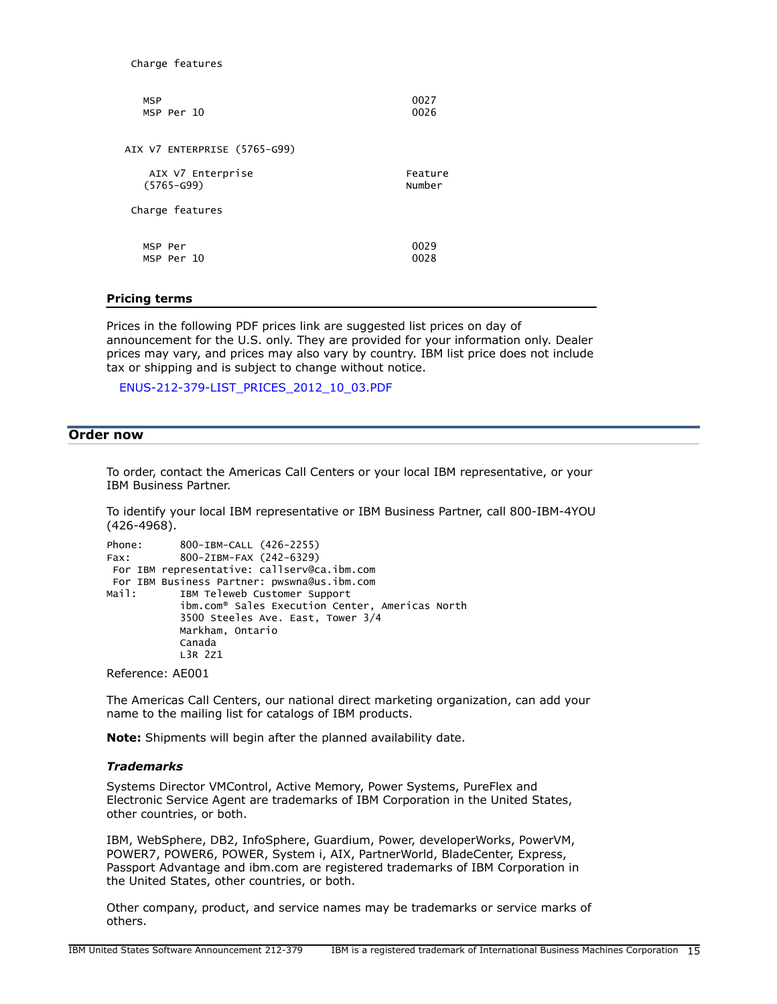| ັ                            |         |
|------------------------------|---------|
| <b>MSP</b>                   | 0027    |
| MSP Per 10                   | 0026    |
| AIX V7 ENTERPRISE (5765-G99) |         |
| AIX V7 Enterprise            | Feature |
| $(5765 - G99)$               | Number  |
| Charge features              |         |
| MSP Per                      | 0029    |
| MSP Per 10                   | 0028    |

#### **Pricing terms**

Charge features

Prices in the following PDF prices link are suggested list prices on day of announcement for the U.S. only. They are provided for your information only. Dealer prices may vary, and prices may also vary by country. IBM list price does not include tax or shipping and is subject to change without notice.

[ENUS-212-379-LIST\\_PRICES\\_2012\\_10\\_03.PDF](http://www.ibm.com/common/ssi/cgi-bin/ssialias?infotype=AN&subtype=CA&appname=gpateam&supplier=897&letternum=ENUS212-379&attachment=ENUS-212-379-LIST_PRICES_2012_10_03.PDF)

# <span id="page-14-0"></span>**Order now**

To order, contact the Americas Call Centers or your local IBM representative, or your IBM Business Partner.

To identify your local IBM representative or IBM Business Partner, call 800-IBM-4YOU (426-4968).

```
Phone: 800-IBM-CALL (426-2255)
Fax: 800-2IBM-FAX (242-6329)
 For IBM representative: callserv@ca.ibm.com 
 For IBM Business Partner: pwswna@us.ibm.com 
Mail: IBM Teleweb Customer Support
            ibm.com® Sales Execution Center, Americas North
            3500 Steeles Ave. East, Tower 3/4
            Markham, Ontario
            Canada
            L3R 2Z1
```
Reference: AE001

The Americas Call Centers, our national direct marketing organization, can add your name to the mailing list for catalogs of IBM products.

**Note:** Shipments will begin after the planned availability date.

#### *Trademarks*

Systems Director VMControl, Active Memory, Power Systems, PureFlex and Electronic Service Agent are trademarks of IBM Corporation in the United States, other countries, or both.

IBM, WebSphere, DB2, InfoSphere, Guardium, Power, developerWorks, PowerVM, POWER7, POWER6, POWER, System i, AIX, PartnerWorld, BladeCenter, Express, Passport Advantage and ibm.com are registered trademarks of IBM Corporation in the United States, other countries, or both.

Other company, product, and service names may be trademarks or service marks of others.